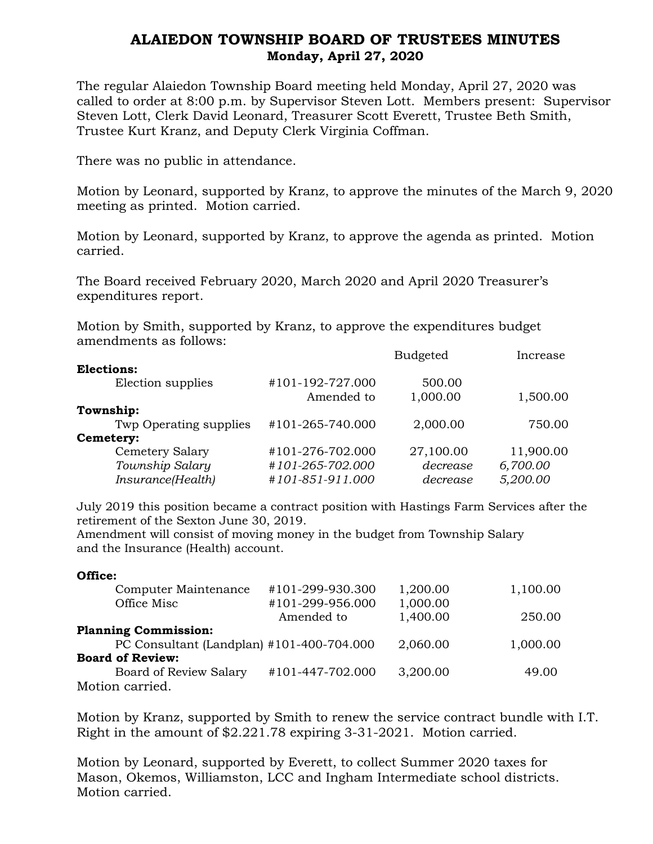## ALAIEDON TOWNSHIP BOARD OF TRUSTEES MINUTES Monday, April 27, 2020

The regular Alaiedon Township Board meeting held Monday, April 27, 2020 was called to order at 8:00 p.m. by Supervisor Steven Lott. Members present: Supervisor Steven Lott, Clerk David Leonard, Treasurer Scott Everett, Trustee Beth Smith, Trustee Kurt Kranz, and Deputy Clerk Virginia Coffman.

There was no public in attendance.

Motion by Leonard, supported by Kranz, to approve the minutes of the March 9, 2020 meeting as printed. Motion carried.

Motion by Leonard, supported by Kranz, to approve the agenda as printed. Motion carried.

The Board received February 2020, March 2020 and April 2020 Treasurer's expenditures report.

Motion by Smith, supported by Kranz, to approve the expenditures budget amendments as follows:

|                  | <b>Budgeted</b> | Increase  |
|------------------|-----------------|-----------|
|                  |                 |           |
| #101-192-727.000 | 500.00          |           |
| Amended to       | 1,000.00        | 1,500.00  |
|                  |                 |           |
| #101-265-740.000 | 2,000.00        | 750.00    |
|                  |                 |           |
| #101-276-702.000 | 27,100.00       | 11,900.00 |
| #101-265-702.000 | decrease        | 6,700.00  |
| #101-851-911.000 | decrease        | 5,200.00  |
|                  |                 |           |

July 2019 this position became a contract position with Hastings Farm Services after the retirement of the Sexton June 30, 2019.

Amendment will consist of moving money in the budget from Township Salary and the Insurance (Health) account.

## Office:

| Computer Maintenance                      | #101-299-930.300 | 1,200.00 | 1,100.00 |
|-------------------------------------------|------------------|----------|----------|
| Office Misc                               | #101-299-956.000 | 1,000.00 |          |
|                                           | Amended to       | 1,400.00 | 250.00   |
| <b>Planning Commission:</b>               |                  |          |          |
| PC Consultant (Landplan) #101-400-704.000 |                  | 2,060.00 | 1,000.00 |
| <b>Board of Review:</b>                   |                  |          |          |
| Board of Review Salary                    | #101-447-702.000 | 3,200.00 | 49.00    |
| Motion carried.                           |                  |          |          |

Motion by Kranz, supported by Smith to renew the service contract bundle with I.T. Right in the amount of \$2.221.78 expiring 3-31-2021. Motion carried.

Motion by Leonard, supported by Everett, to collect Summer 2020 taxes for Mason, Okemos, Williamston, LCC and Ingham Intermediate school districts. Motion carried.